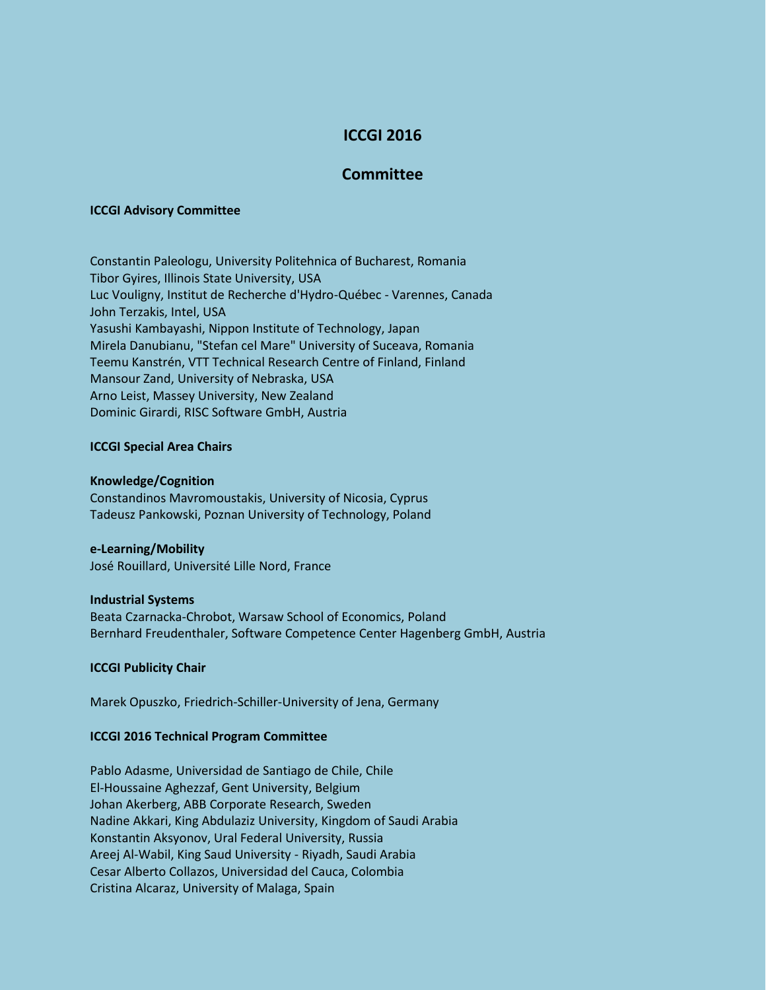# **ICCGI 2016**

# **Committee**

#### **ICCGI Advisory Committee**

Constantin Paleologu, University Politehnica of Bucharest, Romania Tibor Gyires, Illinois State University, USA Luc Vouligny, Institut de Recherche d'Hydro-Québec - Varennes, Canada John Terzakis, Intel, USA Yasushi Kambayashi, Nippon Institute of Technology, Japan Mirela Danubianu, "Stefan cel Mare" University of Suceava, Romania Teemu Kanstrén, VTT Technical Research Centre of Finland, Finland Mansour Zand, University of Nebraska, USA Arno Leist, Massey University, New Zealand Dominic Girardi, RISC Software GmbH, Austria

## **ICCGI Special Area Chairs**

#### **Knowledge/Cognition**

Constandinos Mavromoustakis, University of Nicosia, Cyprus Tadeusz Pankowski, Poznan University of Technology, Poland

#### **e-Learning/Mobility**

José Rouillard, Université Lille Nord, France

#### **Industrial Systems**

Beata Czarnacka-Chrobot, Warsaw School of Economics, Poland Bernhard Freudenthaler, Software Competence Center Hagenberg GmbH, Austria

## **ICCGI Publicity Chair**

Marek Opuszko, Friedrich-Schiller-University of Jena, Germany

#### **ICCGI 2016 Technical Program Committee**

Pablo Adasme, Universidad de Santiago de Chile, Chile El-Houssaine Aghezzaf, Gent University, Belgium Johan Akerberg, ABB Corporate Research, Sweden Nadine Akkari, King Abdulaziz University, Kingdom of Saudi Arabia Konstantin Aksyonov, Ural Federal University, Russia Areej Al-Wabil, King Saud University - Riyadh, Saudi Arabia Cesar Alberto Collazos, Universidad del Cauca, Colombia Cristina Alcaraz, University of Malaga, Spain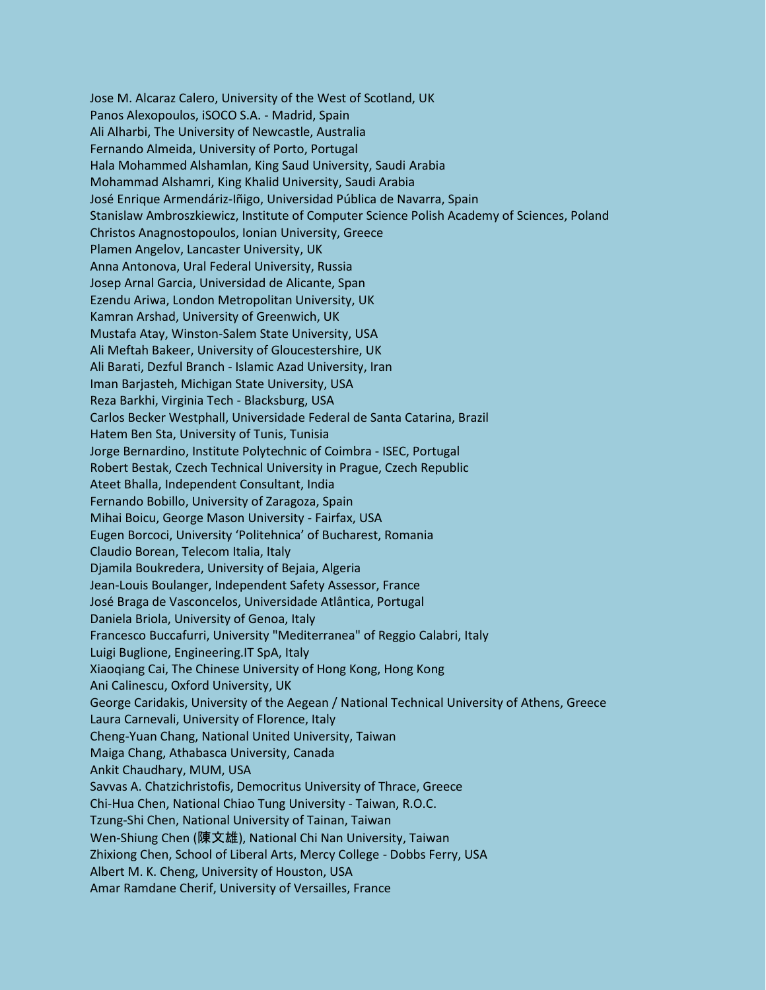Jose M. Alcaraz Calero, University of the West of Scotland, UK Panos Alexopoulos, iSOCO S.A. - Madrid, Spain Ali Alharbi, The University of Newcastle, Australia Fernando Almeida, University of Porto, Portugal Hala Mohammed Alshamlan, King Saud University, Saudi Arabia Mohammad Alshamri, King Khalid University, Saudi Arabia José Enrique Armendáriz-Iñigo, Universidad Pública de Navarra, Spain Stanislaw Ambroszkiewicz, Institute of Computer Science Polish Academy of Sciences, Poland Christos Anagnostopoulos, Ionian University, Greece Plamen Angelov, Lancaster University, UK Anna Antonova, Ural Federal University, Russia Josep Arnal Garcia, Universidad de Alicante, Span Ezendu Ariwa, London Metropolitan University, UK Kamran Arshad, University of Greenwich, UK Mustafa Atay, Winston-Salem State University, USA Ali Meftah Bakeer, University of Gloucestershire, UK Ali Barati, Dezful Branch - Islamic Azad University, Iran Iman Barjasteh, Michigan State University, USA Reza Barkhi, Virginia Tech - Blacksburg, USA Carlos Becker Westphall, Universidade Federal de Santa Catarina, Brazil Hatem Ben Sta, University of Tunis, Tunisia Jorge Bernardino, Institute Polytechnic of Coimbra - ISEC, Portugal Robert Bestak, Czech Technical University in Prague, Czech Republic Ateet Bhalla, Independent Consultant, India Fernando Bobillo, University of Zaragoza, Spain Mihai Boicu, George Mason University - Fairfax, USA Eugen Borcoci, University 'Politehnica' of Bucharest, Romania Claudio Borean, Telecom Italia, Italy Djamila Boukredera, University of Bejaia, Algeria Jean-Louis Boulanger, Independent Safety Assessor, France José Braga de Vasconcelos, Universidade Atlântica, Portugal Daniela Briola, University of Genoa, Italy Francesco Buccafurri, University "Mediterranea" of Reggio Calabri, Italy Luigi Buglione, Engineering.IT SpA, Italy Xiaoqiang Cai, The Chinese University of Hong Kong, Hong Kong Ani Calinescu, Oxford University, UK George Caridakis, University of the Aegean / National Technical University of Athens, Greece Laura Carnevali, University of Florence, Italy Cheng-Yuan Chang, National United University, Taiwan Maiga Chang, Athabasca University, Canada Ankit Chaudhary, MUM, USA Savvas A. Chatzichristofis, Democritus University of Thrace, Greece Chi-Hua Chen, National Chiao Tung University - Taiwan, R.O.C. Tzung-Shi Chen, National University of Tainan, Taiwan Wen-Shiung Chen (陳文雄), National Chi Nan University, Taiwan Zhixiong Chen, School of Liberal Arts, Mercy College - Dobbs Ferry, USA Albert M. K. Cheng, University of Houston, USA Amar Ramdane Cherif, University of Versailles, France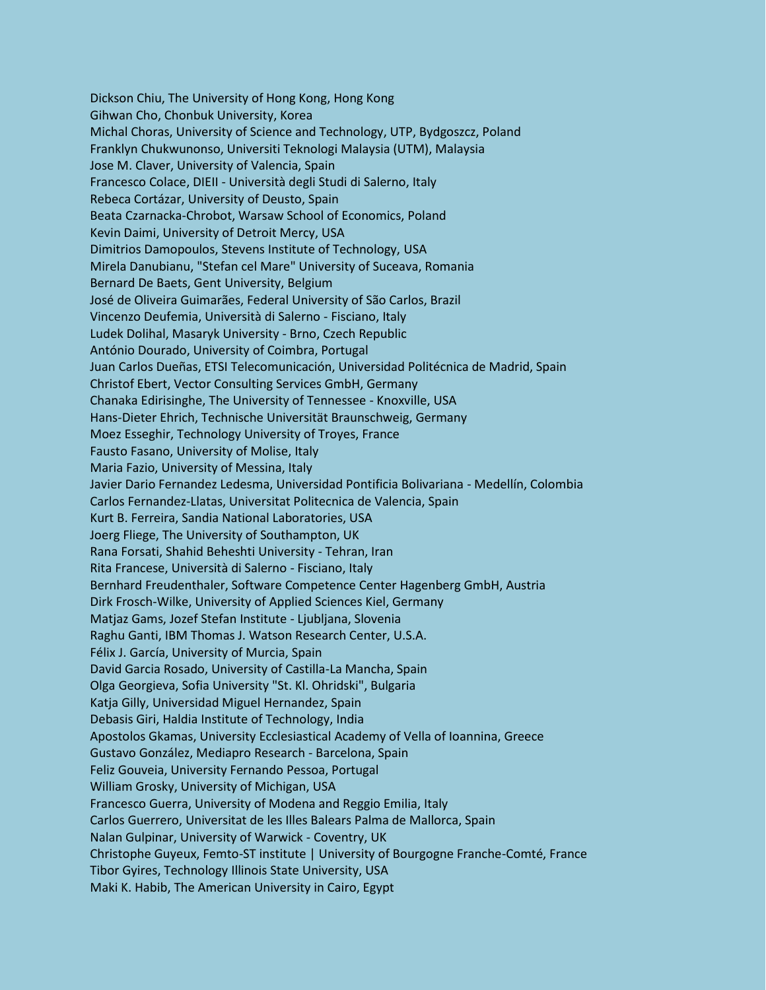Dickson Chiu, The University of Hong Kong, Hong Kong Gihwan Cho, Chonbuk University, Korea Michal Choras, University of Science and Technology, UTP, Bydgoszcz, Poland Franklyn Chukwunonso, Universiti Teknologi Malaysia (UTM), Malaysia Jose M. Claver, University of Valencia, Spain Francesco Colace, DIEII - Università degli Studi di Salerno, Italy Rebeca Cortázar, University of Deusto, Spain Beata Czarnacka-Chrobot, Warsaw School of Economics, Poland Kevin Daimi, University of Detroit Mercy, USA Dimitrios Damopoulos, Stevens Institute of Technology, USA Mirela Danubianu, "Stefan cel Mare" University of Suceava, Romania Bernard De Baets, Gent University, Belgium José de Oliveira Guimarães, Federal University of São Carlos, Brazil Vincenzo Deufemia, Università di Salerno - Fisciano, Italy Ludek Dolihal, Masaryk University - Brno, Czech Republic António Dourado, University of Coimbra, Portugal Juan Carlos Dueñas, ETSI Telecomunicación, Universidad Politécnica de Madrid, Spain Christof Ebert, Vector Consulting Services GmbH, Germany Chanaka Edirisinghe, The University of Tennessee - Knoxville, USA Hans-Dieter Ehrich, Technische Universität Braunschweig, Germany Moez Esseghir, Technology University of Troyes, France Fausto Fasano, University of Molise, Italy Maria Fazio, University of Messina, Italy Javier Dario Fernandez Ledesma, Universidad Pontificia Bolivariana - Medellín, Colombia Carlos Fernandez-Llatas, Universitat Politecnica de Valencia, Spain Kurt B. Ferreira, Sandia National Laboratories, USA Joerg Fliege, The University of Southampton, UK Rana Forsati, Shahid Beheshti University - Tehran, Iran Rita Francese, Università di Salerno - Fisciano, Italy Bernhard Freudenthaler, Software Competence Center Hagenberg GmbH, Austria Dirk Frosch-Wilke, University of Applied Sciences Kiel, Germany Matjaz Gams, Jozef Stefan Institute - Ljubljana, Slovenia Raghu Ganti, IBM Thomas J. Watson Research Center, U.S.A. Félix J. García, University of Murcia, Spain David Garcia Rosado, University of Castilla-La Mancha, Spain Olga Georgieva, Sofia University "St. Kl. Ohridski", Bulgaria Katja Gilly, Universidad Miguel Hernandez, Spain Debasis Giri, Haldia Institute of Technology, India Apostolos Gkamas, University Ecclesiastical Academy of Vella of Ioannina, Greece Gustavo González, Mediapro Research - Barcelona, Spain Feliz Gouveia, University Fernando Pessoa, Portugal William Grosky, University of Michigan, USA Francesco Guerra, University of Modena and Reggio Emilia, Italy Carlos Guerrero, Universitat de les Illes Balears Palma de Mallorca, Spain Nalan Gulpinar, University of Warwick - Coventry, UK Christophe Guyeux, Femto-ST institute | University of Bourgogne Franche-Comté, France Tibor Gyires, Technology Illinois State University, USA Maki K. Habib, The American University in Cairo, Egypt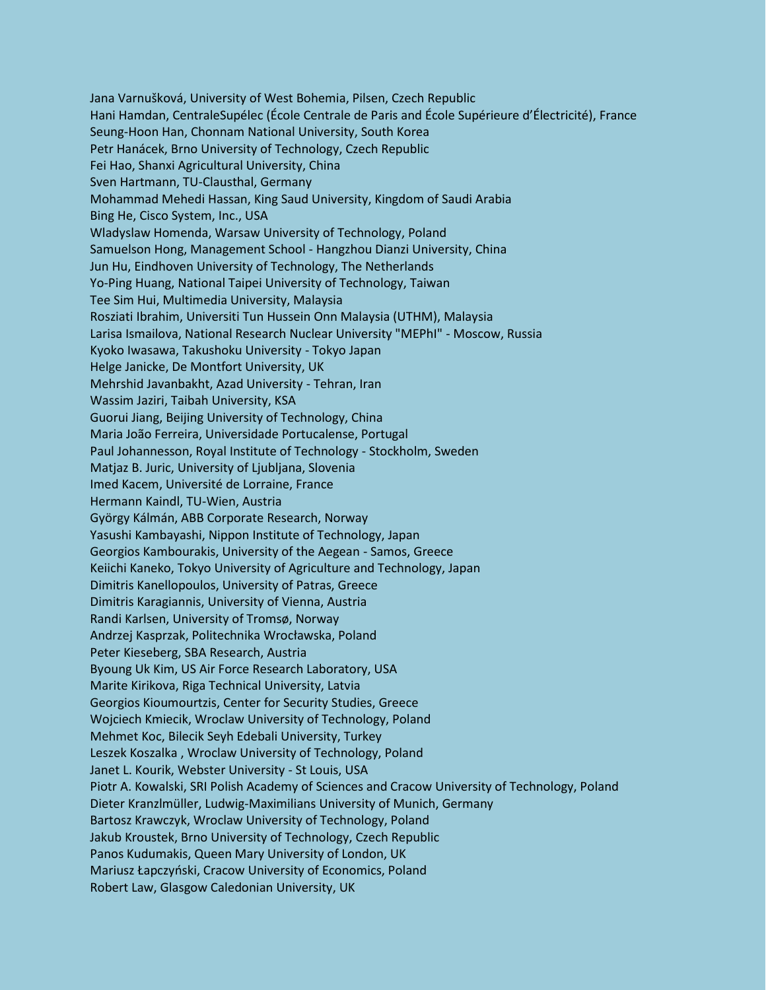Jana Varnušková, University of West Bohemia, Pilsen, Czech Republic Hani Hamdan, CentraleSupélec (École Centrale de Paris and École Supérieure d'Électricité), France Seung-Hoon Han, Chonnam National University, South Korea Petr Hanácek, Brno University of Technology, Czech Republic Fei Hao, Shanxi Agricultural University, China Sven Hartmann, TU-Clausthal, Germany Mohammad Mehedi Hassan, King Saud University, Kingdom of Saudi Arabia Bing He, Cisco System, Inc., USA Wladyslaw Homenda, Warsaw University of Technology, Poland Samuelson Hong, Management School - Hangzhou Dianzi University, China Jun Hu, Eindhoven University of Technology, The Netherlands Yo-Ping Huang, National Taipei University of Technology, Taiwan Tee Sim Hui, Multimedia University, Malaysia Rosziati Ibrahim, Universiti Tun Hussein Onn Malaysia (UTHM), Malaysia Larisa Ismailova, National Research Nuclear University "MEPhI" - Moscow, Russia Kyoko Iwasawa, Takushoku University - Tokyo Japan Helge Janicke, De Montfort University, UK Mehrshid Javanbakht, Azad University - Tehran, Iran Wassim Jaziri, Taibah University, KSA Guorui Jiang, Beijing University of Technology, China Maria João Ferreira, Universidade Portucalense, Portugal Paul Johannesson, Royal Institute of Technology - Stockholm, Sweden Matjaz B. Juric, University of Ljubljana, Slovenia Imed Kacem, Université de Lorraine, France Hermann Kaindl, TU-Wien, Austria György Kálmán, ABB Corporate Research, Norway Yasushi Kambayashi, Nippon Institute of Technology, Japan Georgios Kambourakis, University of the Aegean - Samos, Greece Keiichi Kaneko, Tokyo University of Agriculture and Technology, Japan Dimitris Kanellopoulos, University of Patras, Greece Dimitris Karagiannis, University of Vienna, Austria Randi Karlsen, University of Tromsø, Norway Andrzej Kasprzak, Politechnika Wrocławska, Poland Peter Kieseberg, SBA Research, Austria Byoung Uk Kim, US Air Force Research Laboratory, USA Marite Kirikova, Riga Technical University, Latvia Georgios Kioumourtzis, Center for Security Studies, Greece Wojciech Kmiecik, Wroclaw University of Technology, Poland Mehmet Koc, Bilecik Seyh Edebali University, Turkey Leszek Koszalka , Wroclaw University of Technology, Poland Janet L. Kourik, Webster University - St Louis, USA Piotr A. Kowalski, SRI Polish Academy of Sciences and Cracow University of Technology, Poland Dieter Kranzlmüller, Ludwig-Maximilians University of Munich, Germany Bartosz Krawczyk, Wroclaw University of Technology, Poland Jakub Kroustek, Brno University of Technology, Czech Republic Panos Kudumakis, Queen Mary University of London, UK Mariusz Łapczyński, Cracow University of Economics, Poland Robert Law, Glasgow Caledonian University, UK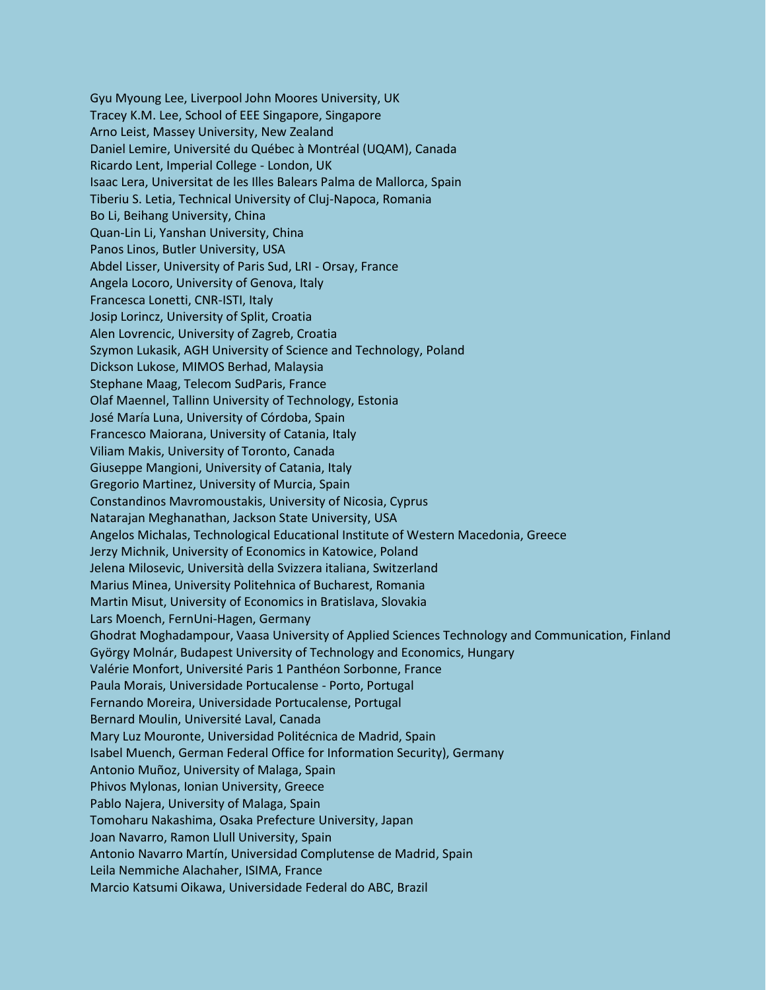Gyu Myoung Lee, Liverpool John Moores University, UK Tracey K.M. Lee, School of EEE Singapore, Singapore Arno Leist, Massey University, New Zealand Daniel Lemire, Université du Québec à Montréal (UQAM), Canada Ricardo Lent, Imperial College - London, UK Isaac Lera, Universitat de les Illes Balears Palma de Mallorca, Spain Tiberiu S. Letia, Technical University of Cluj-Napoca, Romania Bo Li, Beihang University, China Quan-Lin Li, Yanshan University, China Panos Linos, Butler University, USA Abdel Lisser, University of Paris Sud, LRI - Orsay, France Angela Locoro, University of Genova, Italy Francesca Lonetti, CNR-ISTI, Italy Josip Lorincz, University of Split, Croatia Alen Lovrencic, University of Zagreb, Croatia Szymon Lukasik, AGH University of Science and Technology, Poland Dickson Lukose, MIMOS Berhad, Malaysia Stephane Maag, Telecom SudParis, France Olaf Maennel, Tallinn University of Technology, Estonia José María Luna, University of Córdoba, Spain Francesco Maiorana, University of Catania, Italy Viliam Makis, University of Toronto, Canada Giuseppe Mangioni, University of Catania, Italy Gregorio Martinez, University of Murcia, Spain Constandinos Mavromoustakis, University of Nicosia, Cyprus Natarajan Meghanathan, Jackson State University, USA Angelos Michalas, Technological Educational Institute of Western Macedonia, Greece Jerzy Michnik, University of Economics in Katowice, Poland Jelena Milosevic, Università della Svizzera italiana, Switzerland Marius Minea, University Politehnica of Bucharest, Romania Martin Misut, University of Economics in Bratislava, Slovakia Lars Moench, FernUni-Hagen, Germany Ghodrat Moghadampour, Vaasa University of Applied Sciences Technology and Communication, Finland György Molnár, Budapest University of Technology and Economics, Hungary Valérie Monfort, Université Paris 1 Panthéon Sorbonne, France Paula Morais, Universidade Portucalense - Porto, Portugal Fernando Moreira, Universidade Portucalense, Portugal Bernard Moulin, Université Laval, Canada Mary Luz Mouronte, Universidad Politécnica de Madrid, Spain Isabel Muench, German Federal Office for Information Security), Germany Antonio Muñoz, University of Malaga, Spain Phivos Mylonas, Ionian University, Greece Pablo Najera, University of Malaga, Spain Tomoharu Nakashima, Osaka Prefecture University, Japan Joan Navarro, Ramon Llull University, Spain Antonio Navarro Martín, Universidad Complutense de Madrid, Spain Leila Nemmiche Alachaher, ISIMA, France Marcio Katsumi Oikawa, Universidade Federal do ABC, Brazil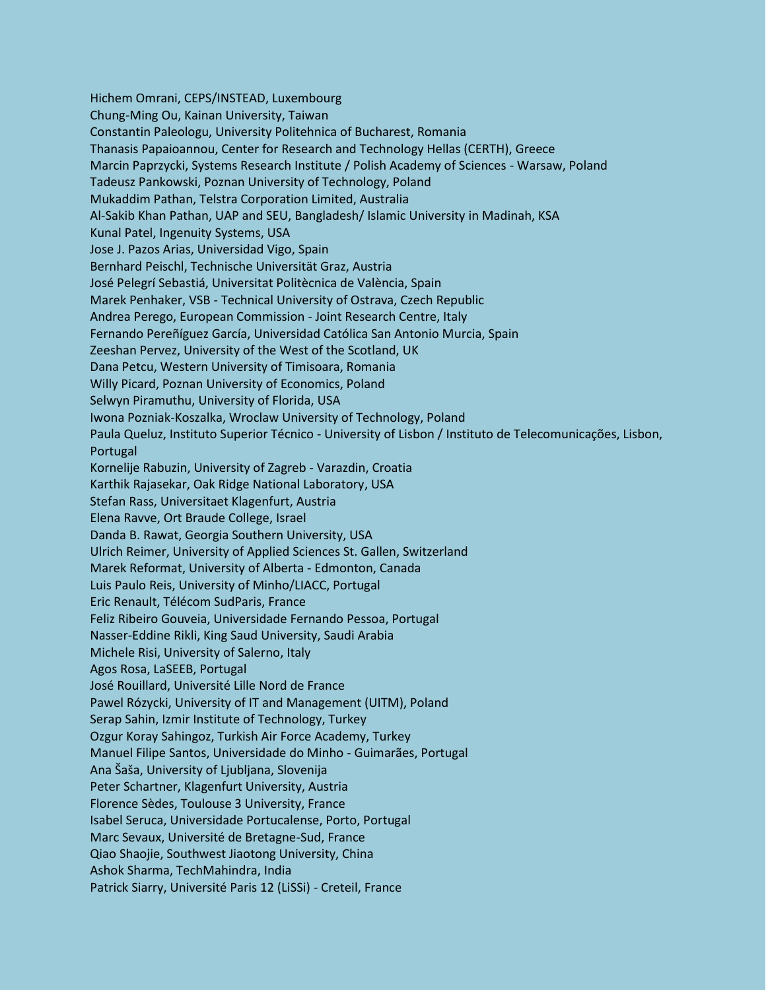Hichem Omrani, CEPS/INSTEAD, Luxembourg Chung-Ming Ou, Kainan University, Taiwan Constantin Paleologu, University Politehnica of Bucharest, Romania Thanasis Papaioannou, Center for Research and Technology Hellas (CERTH), Greece Marcin Paprzycki, Systems Research Institute / Polish Academy of Sciences - Warsaw, Poland Tadeusz Pankowski, Poznan University of Technology, Poland Mukaddim Pathan, Telstra Corporation Limited, Australia Al-Sakib Khan Pathan, UAP and SEU, Bangladesh/ Islamic University in Madinah, KSA Kunal Patel, Ingenuity Systems, USA Jose J. Pazos Arias, Universidad Vigo, Spain Bernhard Peischl, Technische Universität Graz, Austria José Pelegrí Sebastiá, Universitat Politècnica de València, Spain Marek Penhaker, VSB - Technical University of Ostrava, Czech Republic Andrea Perego, European Commission - Joint Research Centre, Italy Fernando Pereñíguez García, Universidad Católica San Antonio Murcia, Spain Zeeshan Pervez, University of the West of the Scotland, UK Dana Petcu, Western University of Timisoara, Romania Willy Picard, Poznan University of Economics, Poland Selwyn Piramuthu, University of Florida, USA Iwona Pozniak-Koszalka, Wroclaw University of Technology, Poland Paula Queluz, Instituto Superior Técnico - University of Lisbon / Instituto de Telecomunicações, Lisbon, Portugal Kornelije Rabuzin, University of Zagreb - Varazdin, Croatia Karthik Rajasekar, Oak Ridge National Laboratory, USA Stefan Rass, Universitaet Klagenfurt, Austria Elena Ravve, Ort Braude College, Israel Danda B. Rawat, Georgia Southern University, USA Ulrich Reimer, University of Applied Sciences St. Gallen, Switzerland Marek Reformat, University of Alberta - Edmonton, Canada Luis Paulo Reis, University of Minho/LIACC, Portugal Eric Renault, Télécom SudParis, France Feliz Ribeiro Gouveia, Universidade Fernando Pessoa, Portugal Nasser-Eddine Rikli, King Saud University, Saudi Arabia Michele Risi, University of Salerno, Italy Agos Rosa, LaSEEB, Portugal José Rouillard, Université Lille Nord de France Pawel Rózycki, University of IT and Management (UITM), Poland Serap Sahin, Izmir Institute of Technology, Turkey Ozgur Koray Sahingoz, Turkish Air Force Academy, Turkey Manuel Filipe Santos, Universidade do Minho - Guimarães, Portugal Ana Šaša, University of Ljubljana, Slovenija Peter Schartner, Klagenfurt University, Austria Florence Sèdes, Toulouse 3 University, France Isabel Seruca, Universidade Portucalense, Porto, Portugal Marc Sevaux, Université de Bretagne-Sud, France Qiao Shaojie, Southwest Jiaotong University, China Ashok Sharma, TechMahindra, India Patrick Siarry, Université Paris 12 (LiSSi) - Creteil, France